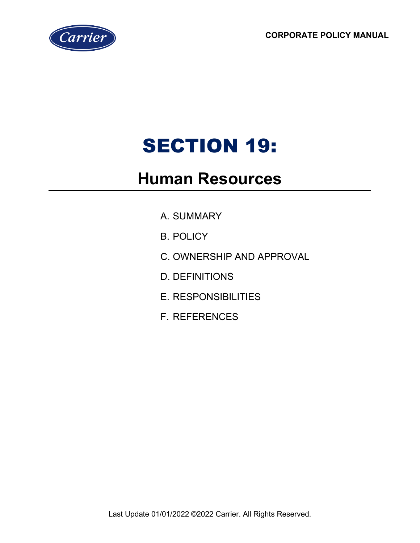**CORPORATE POLICY MANUAL**



# SECTION 19:

# **Human Resources**

- A. SUMMARY
- B. POLICY
- C. OWNERSHIP AND APPROVAL
- D. DEFINITIONS
- E. RESPONSIBILITIES
- F. REFERENCES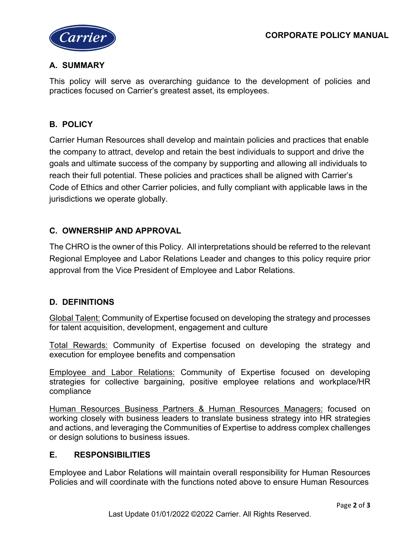

## **A. SUMMARY**

This policy will serve as overarching guidance to the development of policies and practices focused on Carrier's greatest asset, its employees.

#### **B. POLICY**

Carrier Human Resources shall develop and maintain policies and practices that enable the company to attract, develop and retain the best individuals to support and drive the goals and ultimate success of the company by supporting and allowing all individuals to reach their full potential. These policies and practices shall be aligned with Carrier's Code of Ethics and other Carrier policies, and fully compliant with applicable laws in the jurisdictions we operate globally.

## **C. OWNERSHIP AND APPROVAL**

The CHRO is the owner of this Policy. All interpretations should be referred to the relevant Regional Employee and Labor Relations Leader and changes to this policy require prior approval from the Vice President of Employee and Labor Relations.

#### **D. DEFINITIONS**

Global Talent: Community of Expertise focused on developing the strategy and processes for talent acquisition, development, engagement and culture

Total Rewards: Community of Expertise focused on developing the strategy and execution for employee benefits and compensation

Employee and Labor Relations: Community of Expertise focused on developing strategies for collective bargaining, positive employee relations and workplace/HR compliance

Human Resources Business Partners & Human Resources Managers: focused on working closely with business leaders to translate business strategy into HR strategies and actions, and leveraging the Communities of Expertise to address complex challenges or design solutions to business issues.

#### **E. RESPONSIBILITIES**

Employee and Labor Relations will maintain overall responsibility for Human Resources Policies and will coordinate with the functions noted above to ensure Human Resources